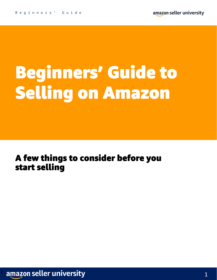# Beginners' Guide to Selling on Amazon

### A few things to consider before you start selling

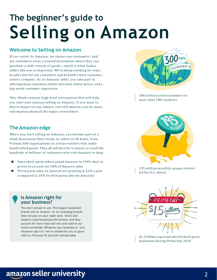### **The beginner's guide to Selling on Amazon**

#### **Welcome to Selling on Amazon**

It's no secret: At Amazon, we obsess over customers. And our customers want a trusted destination where they can purchase a wide variety of goods—which is what makes sellers like you so important. We're always looking for ways to add value for our customers and be Earth's most customercentric company. As an Amazon seller, you take part in offering those customers better selection, better prices, and a top-notch customer experience.

This eBook contains high-level information that will help you start your journey selling on Amazon. If you want to dive in deeper on any subject, visit sell.amazon.com for more information about all the topics covered here.

300 million active customers in more than 180 countries

#### **The Amazon edge**

When you start selling on Amazon, you become part of a retail destination that's home to sellers of all kinds, from Fortune 500 organizations to artisan vendors who make handcrafted goods. They all sell here for a reason: to reach the hundreds of millions of customers who visit Amazon to shop.

- Since third-party sellers joined Amazon in 1999, they've grown to account for 58% of Amazon sales
- Third-party sales on Amazon are growing at 52% a year (compared to 25% for first-party sales by Amazon)



195 million monthly unique visitors (in the U.S. alone)



businesses during Prime Day 2018

#### **Is Amazon right for your business?**

The short answer is: yes. The largest household brands sell on Amazon. So do emerging brands that will pop on your radar soon. Small and medium-sized businesses thrive here, and they account for more than half the units sold in our stores worldwide. Whatever your business is—and whatever size it is—we're excited for you to grow with us. Find your fit and start selling today.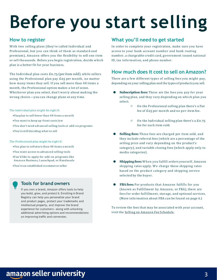# **Before you start selling**

#### **How to register**

With two selling plans (they're called Individual and Professional, but you can think of them as standard and premium), Amazon offers you the flexibility to sell one item or sell thousands. Before you begin registration, decide which plan is a better fit for your business.

The Individual plan costs £0.75 (per item sold), while sellers using the Professional plan pay £25 per month, no matter how many items they sell. If you sell more than 40 items a month, the Professional option makes a lot of sense. Whichever plan you select, don't worry about making the wrong choice—you can change plans at any time.

The Individual plan might be right if:

- •You plan to sell fewer than 40 items a mo nth
- •You want to keep up-front costs low
- •You don't need advanced selling tools or add-on programs
- •You're still deciding what to sell

#### The Professional plan might be right if:

- •You plan to sell more than 40 items a mo nth
- •You want access to advanced selling tools
- •You'd like to apply for add-on programs like Amazon Business, Launchpad, or Handmade
- •You're an established ecommerce seller

#### **Tools for brand owners**

If you own a brand, Amazon offers tools to help you build, grow, and protect it. Enrolling in Brand Registry can help you personalize your brand and product pages, protect your trademarks and intellectual property, and improve the brand experience for customers—along with unlocking additional advertising options and recommendations on improving traffic and conversion.

#### **What you'll need to get started**

In order to complete your registration, make sure you have access to your bank account number and bank routing number, a chargeable credit card, government issued national ID, tax information, and phone number.

#### **How much does it cost to sell on Amazon?**

There are a few different types of selling fees you might pay, depending on your selling plan and the types of products you sell.

- **Subscription fees:** These are the fees you pay for your selling plan, and they vary depending on which plan you select.
	- O n the Professional selling plan there's a flat fee of  $£25$  per month and no per-item fee.
	- O n the Individual selling plan there's a £0.75 fee for each item sold.
- **Selling fees:** These fees are charged per item sold, and they include referral fees (which are a percentage of the selling price and vary depending on the product's category), and variable closing fees (which apply only to media categories).
- **Shipping fees:** When you fulfill orders yourself, Amazon shipping rates apply. We charge these shipping rates based on the product category and shipping service selected by the buyer.
- **FBA fees:** For products that Amazon fulfills for you (known as Fulfillment by Amazon, or FBA), there are fees for order fulfillment, storage, and optional services. (More information about FBA can be found on page 6.)

To review the fees that may be associated with your account, visit the Selling on Amazon Fee [Schedule](https://sellercentral.amazon.co.uk/gp/help/help.html?itemID=200336920).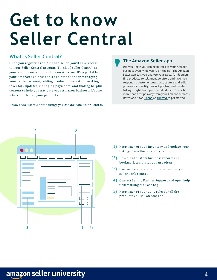## **Get to know Seller Central**

#### **What is Seller Central?**

Once you register as an Amazon seller, you'll have access to your Seller Central account. Think of Seller Central as your go-to resource for selling on Amazon. It's a portal to your Amazon business and a one-stop shop for managing your selling account, adding product information, making inventory updates, managing payments, and finding helpful content to help you navigate your Amazon business. It's also where you list all your products.

Below are a just few of the things you can do from Seller Central.

#### **The Amazon Seller app**

Did you know you can keep track of your Amazon business even while you're on the go? The Amazon Seller app lets you analyze your sales, fulfill orders, find products to sell, manage offers and inventory, respond to customer questions, capture and edit professional-quality product photos, and create listings—right from your mobile device. Never be more than a swipe away from your Amazon business. Download it for [iPhone](https://apps.apple.com/us/app/amazon-seller/id794141485) or [Android](https://www.amazon.co.uk/Amazon-com-Amazon-Seller/dp/B00MAZ4FDQ) to get started.



- (1) Keep track of your inventory and update your listings from the Inventory tab
- (2) Download custom business reports and bookmark templates you use often
- (3) Use customer metrics tools to monitor your seller performance
- (4) Contact Selling Partner Support and open help tickets using the Case Log
- (5) Keep track of your daily sales for all the products you sell on Amazon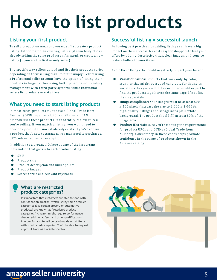# **How to list products**

#### **Listing your first product**

To sell a product on Amazon, you must first create a product listing. Either match an existing listing (if somebody else is already selling the same product on Amazon), or create a new listing (if you are the first or only seller).

The specific way sellers upload and list their products varies depending on their selling plan. To put it simply: Sellers using a Professional seller account have the option of listing their products in large batches using bulk uploading or inventory management with third-party systems, while Individual sellers list products one at a time.

#### **What you need to start listing products**

In most cases, products must have a Global Trade Item Number (GTIN), such as a UPC, an ISBN, or an EAN. Amazon uses these product IDs to identify the exact item you're selling. If you match a listing, you won't need to provide a product ID since it already exists. If you're adding a product that's new to Amazon, you may need to purchase a UPC code or request an exemption.

In addition to a product ID, here's some of the important information that goes into each product listing:

- **SKU**
- Product title
- Product description and bullet points
- Product images
- Search terms and relevant keywords

#### **What are restricted product categories?**

It's important that customers are able to shop with confidence on Amazon, which is why some product categories (like certain grocery or automotive products) are known as "restricted product categories." Amazon might require performance checks, additional fees, and other qualifications in order for you to sell certain brands or list items within restricted categories. You'll be able to request approval from within Seller Central.

#### **Successful listing = successful launch**

Following best practices for adding listings can have a big impact on their success. Make it easy for shoppers to find your offers by adding descriptive titles, clear images, and concise feature bullets to your items.

Avoid these things that could negatively impact your launch:

- **Variation issues:** Products that vary only by color, scent, or size might be a good candidate for listing as variations. Ask yourself if the customer would expect to find the products together on the same page. If not, list them separately.
- **Image compliance:** Your images must be at least 500 X 500 pixels (increase the size to 1,000 X 1,000 for high-quality listings) and set against a plain white background. The product should fill at least 80% of the image area.
- **Product IDs:** Make sure you're meeting the requirements for product UPCs and GTINs (Global Trade Item Number). Consistency in these codes helps promote confidence in the range of products shown in the Amazon catalog.



### amazon seller university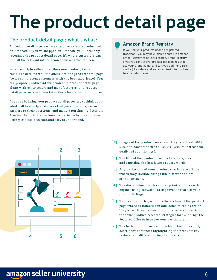# **The product detail page**

#### **The product detail page: what's what?**

A product detail page is where customers view a product sold on Amazon. If you've shopped on Amazon, you'll probably recognize the product detail page. It's where customers can find all the relevant information about a particular item.

When multiple sellers offer the same product, Amazon combines data from all the offers into one product detail page (so we can present customers with the best experience). You can propose product information on a product detail page, along with other sellers and manufacturers, and request detail page reviews if you think the information is not correct.

As you're building your product detail pages, try to think about what will best help customers find your products, discover answers to their questions, and make a purchasing decision. Aim for the ultimate customer experience by making your listings concise, accurate, and easy to understand.

#### **Amazon Brand Registry**

If you sell your products under a registered trademark, you may be eligible to enroll in Amazon Brand Registry at no extra charge. Brand Registry gives you control over product detail pages that use your brand name, and lets you add more rich media (like videos and enhanced text information) to your detail pages.



- (1) Images of the product (make sure they're at least 500 <sup>X</sup> 500, and boost that size to 1,000 X 1,000 to increase the quality of your listings).
- (2) The title of the product (use 50 characters, ma ximum, and capitalize the first letter of every word).
- (3) Any variations of your product you have available, which may include things like different colors, scents, or sizes.
- (4) The description, which can be optimized for search engines using keywords to improve the reach of your product listings.
- (5) The Featured Offer, which is the section of the product page where customers can add items to their card or "Buy Now." If you're one of multiple sellers advertising the same product, research strategies for "winning" the Featured Offer to improve your overall sales.
- (6) The bullet point information, which should be short, descriptive sentences highlighting the products key features and differentiating characteristics. **5**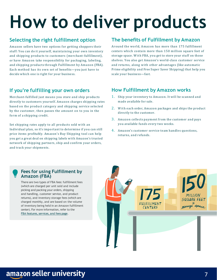# **How to deliver products**

#### **Selecting the right fulfillment option**

Amazon sellers have two options for getting shoppers their stuff: You can do it yourself, maintaining your own inventory and shipping products to customers (merchant-fulfillment), or have Amazon take responsibility for packaging, labeling, and shipping products through Fulfillment by Amazon (FBA). Each method has its own set of benefits—you just have to decide which one is right for your business.

#### **If you're fulfilling your own orders**

Merchant-fulfilled just means you store and ship products directly to customers yourself. Amazon charges shipping rates based on the product category and shipping service selected by the customer, then passes the amount on to you in the form of a shipping credit.

Set shipping rates apply to all products sold with an Individual plan, so it's important to determine if you can still price items profitably. Amazon's Buy Shipping tool can help you get a great deal on shipping labels with Amazon's trusted network of shipping partners, ship and confirm your orders, and track your shipments.

#### **The benefits of Fulfillment by Amazon**

Around the world, Amazon has more than 175 fulfillment centers which contain more than 150 million square feet of storage space. With FBA, you get to store your stuff on those shelves. You also get Amazon's world-class customer service and returns, along with other advantages (like automatic Prime eligibility and Free Super Saver Shipping) that help you scale your business—fast.

#### **How Fulfillment by Amazon works**

- 1. Ship your inventory to Amazon. It will be scanned and made available for sale.
- 2. With each order, Amazon packages and ships the product directly to the customer.
- 3. Amazon collects payment from the customer and pays you available funds every two weeks.
- 4. Amazon's customer service team handles questions, returns, and refunds.

#### **Fees for using Fulfillment by Amazon (FBA)**

There are two types of FBA fees: fulfillment fees (which are charged per unit sold and include picking and packing your orders, shipping and handling, customer service, and product returns), and inventory storage fees (which are charged monthly, and are based on the volume of inventory being held in an Amazon fulfillment center). For more information, refer to the FBA [features,](https://sellercentral.amazon.co.uk/gp/help/help.html?itemID=201074400) services, and fees page.

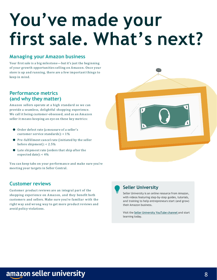## **You've made your first sale. What's next?**

#### **Managing your Amazon business**

Your first sale is a big milestone—but it's just the beginning of your growth opportunities selling on Amazon. Once your store is up and running, there are a few important things to keep in mind.

#### **Performance metrics (and why they matter)**

Amazon sellers operate at a high standard so we can provide a seamless, delightful shopping experience. We call it being customer-obsessed, and as an Amazon seller it means keeping an eye on these key metrics:

- Order defect rate (a measure of a seller's customer service standards): < 1%
- Pre-fulfillment cancel rate (initiated by the seller before shipment): < 2.5%
- Late shipment rate (orders that ship after the expected date): < 4%

You can keep tabs on your performance and make sure you're meeting your targets in Seller Central.

#### **Customer reviews**

Customer product reviews are an integral part of the shopping experience on Amazon, and they benefit both customers and sellers. Make sure you're familiar with the right way and wrong way to get more product reviews and avoid policy violations.





#### **Seller University**

Seller University is an online resource from Amazon, with videos featuring step-by-step guides, tutorials, and training to help entrepreneurs start (and grow) their Amazon business.

Visit the Seller [University](https://www.youtube.com/channel/UC8XjJ6Ubd27JM0R9S9a5BAQ/videos) YouTube channel and start learning today.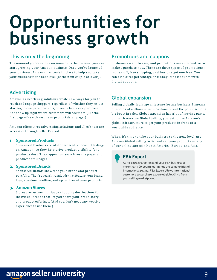### **Opportunities for business growth**

#### **This is only the beginning**

The moment you're selling on Amazon is the moment you can start growing your Amazon business. Once you've launched your business, Amazon has tools in place to help you take your business to the next level (or the next couple of levels).

#### **Advertising**

Amazon's advertising solutions create new ways for you to reach and engage shoppers, regardless of whether they're just starting to compare products, or ready to make a purchase. Ads show up right where customers will see them (like the first page of search results or product detail pages).

Amazon offers three advertising solutions, and all of them are accessible through Seller Central.

#### **1. Sponsored Products**

Sponsored Products are ads for individual product listings on Amazon, so they help drive product visibility (and product sales). They appear on search results pages and product detail pages.

#### **2. Sponsored Brands**

Sponsored Brands showcase your brand and product portfolio. They're search-result ads that feature your brand logo, a custom headline, and up to three of your products.

#### **3. Amazon Stores**

Stores are custom multipage shopping destinations for individual brands that let you share your brand story and product offerings. (And you don't need any website experience to use them.)

#### **Promotions and coupons**

Customers want to save, and promotions are an incentive to make a purchase now. There are three types of promotions: money off, free shipping, and buy one get one free. You can also offer percentage or money-off discounts with digital coupons.

#### **Global expansion**

Selling globally is a huge milestone for any business. It means hundreds of millions of new customers and the potential for a big boost in sales. Global expansion has a lot of moving parts, but with Amazon Global Selling, you get to use Amazon's global infrastructure to get your products in front of a worldwide audience.

When it's time to take your business to the next level, use Amazon Global Selling to list and sell your products on any of our online stores in North America, Europe, and Asia.

> **FBA Export** At no extra charge, expand your FBA business to more than 100 countries—minus the complexities of international selling. FBA Export allows international customers to purchase export-eligible ASINs from your selling marketplace.